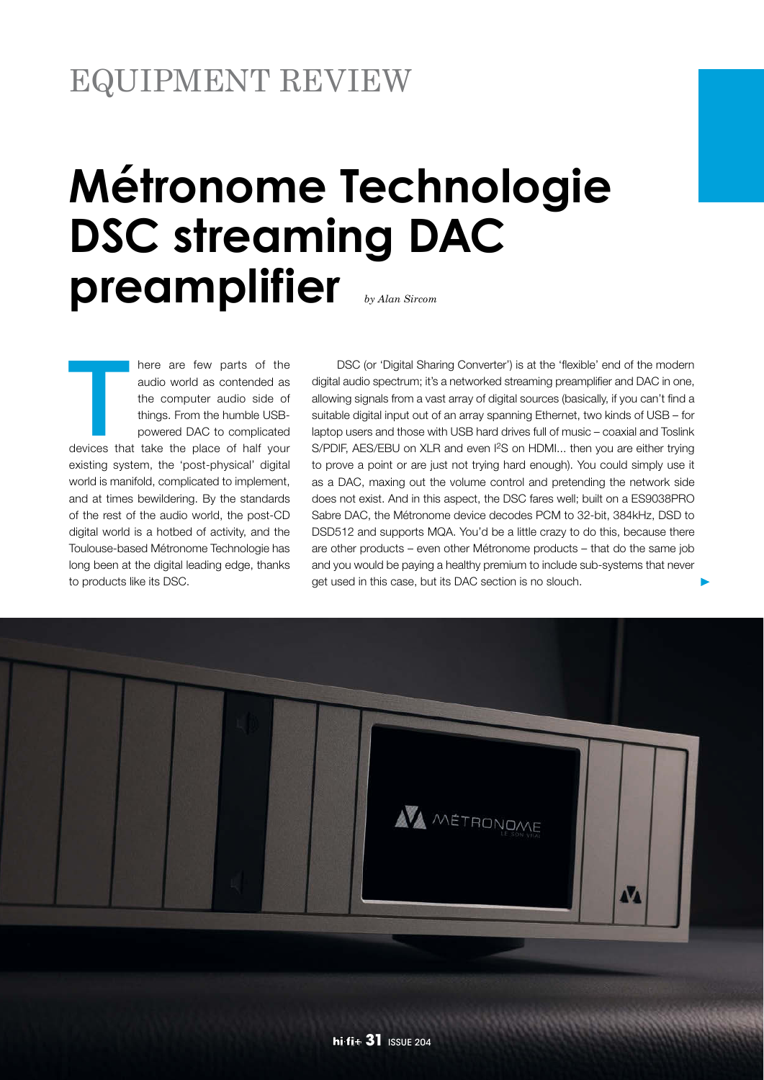# EQUIPMENT REVIEW

# **Métronome Technologie DSC streaming DAC preamplifier** *by Alan Sircom*

T here are few parts of the audio world as contended as the computer audio side of things. From the humble USBpowered DAC to complicated devices that take the place of half your existing system, the 'post-physical' digital world is manifold, complicated to implement, and at times bewildering. By the standards of the rest of the audio world, the post-CD digital world is a hotbed of activity, and the Toulouse-based Métronome Technologie has long been at the digital leading edge, thanks to products like its DSC.

 DSC (or 'Digital Sharing Converter') is at the 'flexible' end of the modern digital audio spectrum; it's a networked streaming preamplifier and DAC in one, allowing signals from a vast array of digital sources (basically, if you can't find a suitable digital input out of an array spanning Ethernet, two kinds of USB – for laptop users and those with USB hard drives full of music – coaxial and Toslink S/PDIF, AES/EBU on XLR and even I<sup>2</sup>S on HDMI... then you are either trying to prove a point or are just not trying hard enough). You could simply use it as a DAC, maxing out the volume control and pretending the network side does not exist. And in this aspect, the DSC fares well; built on a ES9038PRO Sabre DAC, the Métronome device decodes PCM to 32-bit, 384kHz, DSD to DSD512 and supports MQA. You'd be a little crazy to do this, because there are other products – even other Métronome products – that do the same job and you would be paying a healthy premium to include sub-systems that never get used in this case, but its DAC section is no slouch.

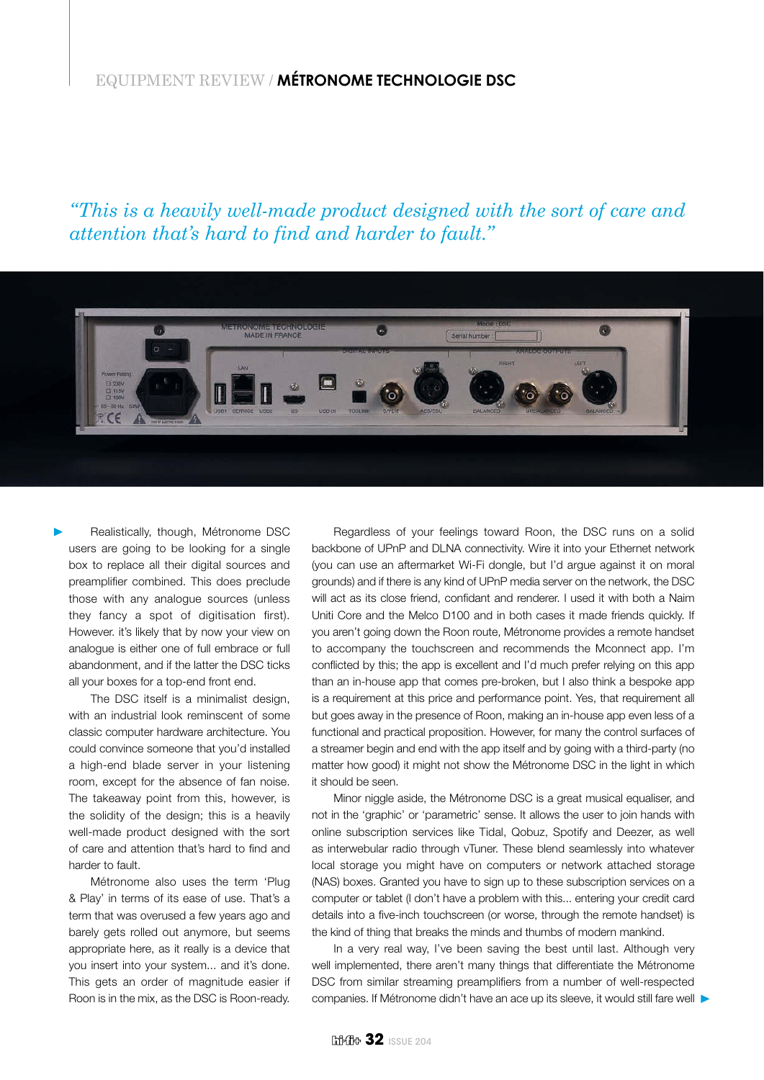# EQUIPMENT REVIEW / **MÉTRONOME TECHNOLOGIE DSC**

*"This is a heavily well-made product designed with the sort of care and attention that's hard to find and harder to fault."*



Realistically, though, Métronome DSC users are going to be looking for a single box to replace all their digital sources and preamplifier combined. This does preclude those with any analogue sources (unless they fancy a spot of digitisation first). However. it's likely that by now your view on analogue is either one of full embrace or full abandonment, and if the latter the DSC ticks all your boxes for a top-end front end.

The DSC itself is a minimalist design, with an industrial look reminscent of some classic computer hardware architecture. You could convince someone that you'd installed a high-end blade server in your listening room, except for the absence of fan noise. The takeaway point from this, however, is the solidity of the design; this is a heavily well-made product designed with the sort of care and attention that's hard to find and harder to fault.

Métronome also uses the term 'Plug & Play' in terms of its ease of use. That's a term that was overused a few years ago and barely gets rolled out anymore, but seems appropriate here, as it really is a device that you insert into your system... and it's done. This gets an order of magnitude easier if Roon is in the mix, as the DSC is Roon-ready.

Regardless of your feelings toward Roon, the DSC runs on a solid backbone of UPnP and DLNA connectivity. Wire it into your Ethernet network (you can use an aftermarket Wi-Fi dongle, but I'd argue against it on moral grounds) and if there is any kind of UPnP media server on the network, the DSC will act as its close friend, confidant and renderer. I used it with both a Naim Uniti Core and the Melco D100 and in both cases it made friends quickly. If you aren't going down the Roon route, Métronome provides a remote handset to accompany the touchscreen and recommends the Mconnect app. I'm conflicted by this; the app is excellent and I'd much prefer relying on this app than an in-house app that comes pre-broken, but I also think a bespoke app is a requirement at this price and performance point. Yes, that requirement all but goes away in the presence of Roon, making an in-house app even less of a functional and practical proposition. However, for many the control surfaces of a streamer begin and end with the app itself and by going with a third-party (no matter how good) it might not show the Métronome DSC in the light in which it should be seen.

Minor niggle aside, the Métronome DSC is a great musical equaliser, and not in the 'graphic' or 'parametric' sense. It allows the user to join hands with online subscription services like Tidal, Qobuz, Spotify and Deezer, as well as interwebular radio through vTuner. These blend seamlessly into whatever local storage you might have on computers or network attached storage (NAS) boxes. Granted you have to sign up to these subscription services on a computer or tablet (I don't have a problem with this... entering your credit card details into a five-inch touchscreen (or worse, through the remote handset) is the kind of thing that breaks the minds and thumbs of modern mankind.

In a very real way, I've been saving the best until last. Although very well implemented, there aren't many things that differentiate the Métronome DSC from similar streaming preamplifiers from a number of well-respected companies. If Métronome didn't have an ace up its sleeve, it would still fare well  $\blacktriangleright$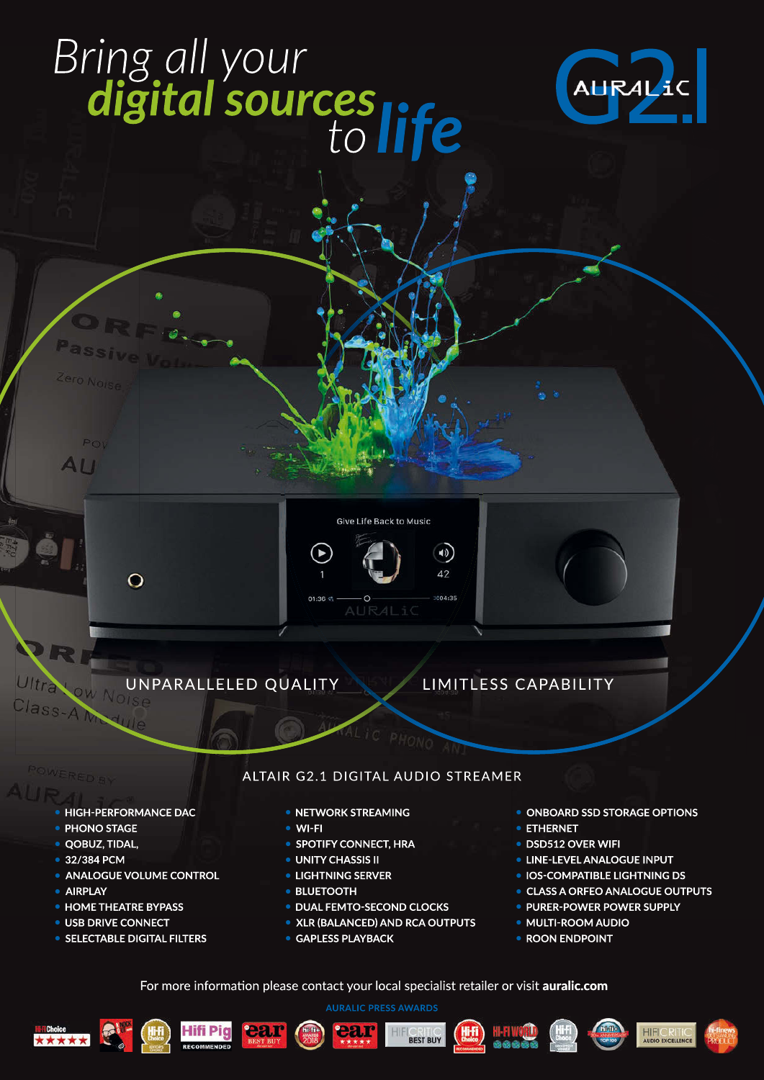# Bring all your<br>digital sources life





# **LIMITLESS CAPABILITY**

**HIGH-PERFORMANCE DAC** 

 $\Omega$ 

• PHONO STAGE

Pov

AII

- · QOBUZ, TIDAL,
- 32/384 PCM
- ANALOGUE VOLUME CONTROL
- · AIRPLAY
- **HOME THEATRE BYPASS**
- · USB DRIVE CONNECT
- SELECTABLE DIGITAL FILTERS

### ALTAIR G2.1 DIGITAL AUDIO STREAMER

Give Life Back to Music

41)  $\overline{42}$ 

 $CO4:35$ 

- NETWORK STREAMING
- **WI-FI**

 $01:36$ 

- SPOTIFY CONNECT, HRA
- **UNITY CHASSIS II**
- **LIGHTNING SERVER**
- **BLUETOOTH**
- **DUAL FEMTO-SECOND CLOCKS**
- XLR (BALANCED) AND RCA OUTPUTS
- GAPLESS PLAYBACK
- ONBOARD SSD STORAGE OPTIONS
- ETHERNET
- DSD512 OVER WIFI
- **. LINE-LEVEL ANALOGUE INPUT**
- IOS-COMPATIBLE LIGHTNING DS
- **CLASS A ORFEO ANALOGUE OUTPUTS**
- · PURER-POWER POWER SUPPLY
- · MULTI-ROOM AUDIO
- ROON ENDPOINT

For more information please contact your local specialist retailer or visit auralic.com

HIFK

ear





ear

hi fi







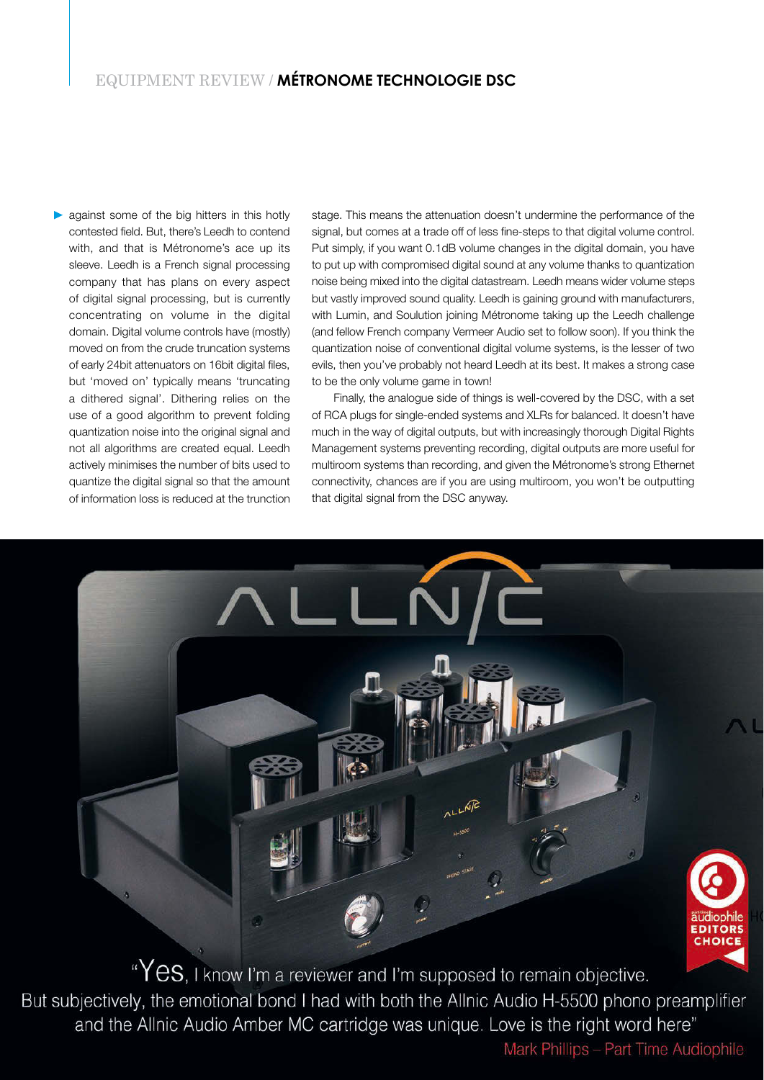# EQUIPMENT REVIEW / **MÉTRONOME TECHNOLOGIE DSC**

against some of the big hitters in this hotly contested field. But, there's Leedh to contend with, and that is Métronome's ace up its sleeve. Leedh is a French signal processing company that has plans on every aspect of digital signal processing, but is currently concentrating on volume in the digital domain. Digital volume controls have (mostly) moved on from the crude truncation systems of early 24bit attenuators on 16bit digital files, but 'moved on' typically means 'truncating a dithered signal'. Dithering relies on the use of a good algorithm to prevent folding quantization noise into the original signal and not all algorithms are created equal. Leedh actively minimises the number of bits used to quantize the digital signal so that the amount of information loss is reduced at the trunction stage. This means the attenuation doesn't undermine the performance of the signal, but comes at a trade off of less fine-steps to that digital volume control. Put simply, if you want 0.1dB volume changes in the digital domain, you have to put up with compromised digital sound at any volume thanks to quantization noise being mixed into the digital datastream. Leedh means wider volume steps but vastly improved sound quality. Leedh is gaining ground with manufacturers, with Lumin, and Soulution joining Métronome taking up the Leedh challenge (and fellow French company Vermeer Audio set to follow soon). If you think the quantization noise of conventional digital volume systems, is the lesser of two evils, then you've probably not heard Leedh at its best. It makes a strong case to be the only volume game in town!

Finally, the analogue side of things is well-covered by the DSC, with a set of RCA plugs for single-ended systems and XLRs for balanced. It doesn't have much in the way of digital outputs, but with increasingly thorough Digital Rights Management systems preventing recording, digital outputs are more useful for multiroom systems than recording, and given the Métronome's strong Ethernet connectivity, chances are if you are using multiroom, you won't be outputting that digital signal from the DSC anyway.



"Yes, I know I'm a reviewer and I'm supposed to remain objective. But subjectively, the emotional bond I had with both the Allnic Audio H-5500 phono preamplifier and the Allnic Audio Amber MC cartridge was unique. Love is the right word here"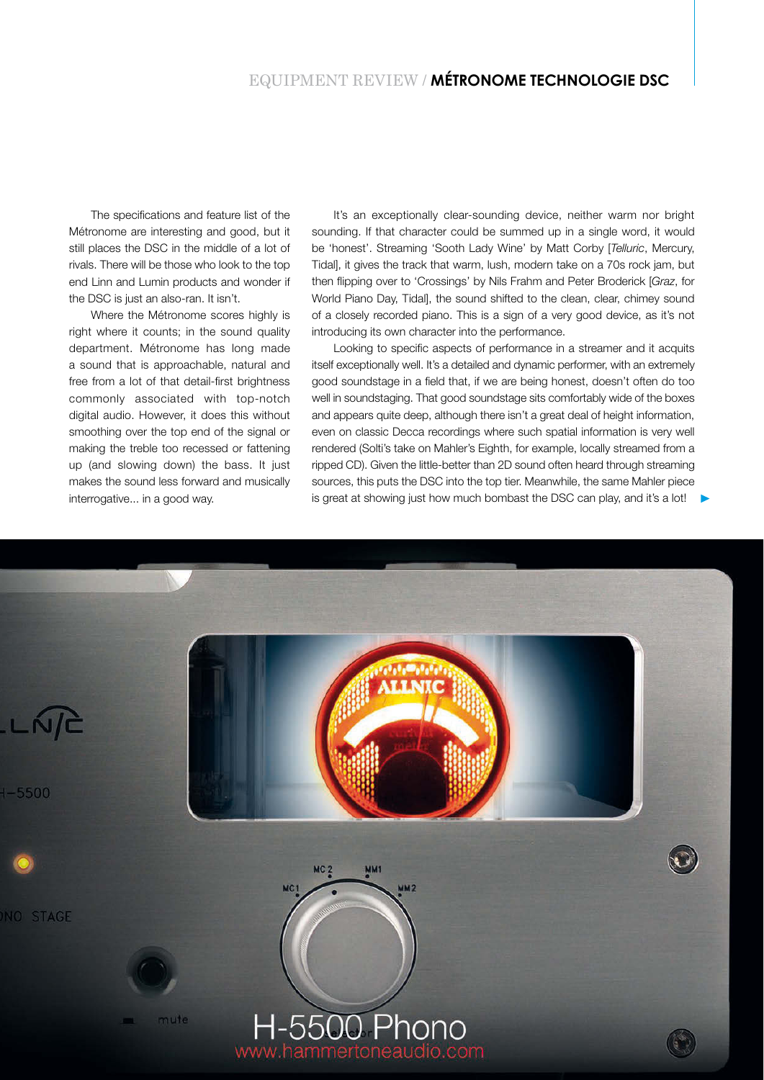The specifications and feature list of the Métronome are interesting and good, but it still places the DSC in the middle of a lot of rivals. There will be those who look to the top end Linn and Lumin products and wonder if the DSC is just an also-ran. It isn't.

Where the Métronome scores highly is right where it counts; in the sound quality department. Métronome has long made a sound that is approachable, natural and free from a lot of that detail-first brightness commonly associated with top-notch digital audio. However, it does this without smoothing over the top end of the signal or making the treble too recessed or fattening up (and slowing down) the bass. It just makes the sound less forward and musically interrogative... in a good way.

It's an exceptionally clear-sounding device, neither warm nor bright sounding. If that character could be summed up in a single word, it would be 'honest'. Streaming 'Sooth Lady Wine' by Matt Corby [Telluric, Mercury, Tidal], it gives the track that warm, lush, modern take on a 70s rock jam, but then flipping over to 'Crossings' by Nils Frahm and Peter Broderick [Graz, for World Piano Day, Tidal], the sound shifted to the clean, clear, chimey sound of a closely recorded piano. This is a sign of a very good device, as it's not introducing its own character into the performance.

Looking to specific aspects of performance in a streamer and it acquits itself exceptionally well. It's a detailed and dynamic performer, with an extremely good soundstage in a field that, if we are being honest, doesn't often do too well in soundstaging. That good soundstage sits comfortably wide of the boxes and appears quite deep, although there isn't a great deal of height information, even on classic Decca recordings where such spatial information is very well rendered (Solti's take on Mahler's Eighth, for example, locally streamed from a ripped CD). Given the little-better than 2D sound often heard through streaming sources, this puts the DSC into the top tier. Meanwhile, the same Mahler piece is great at showing just how much bombast the DSC can play, and it's a lot!